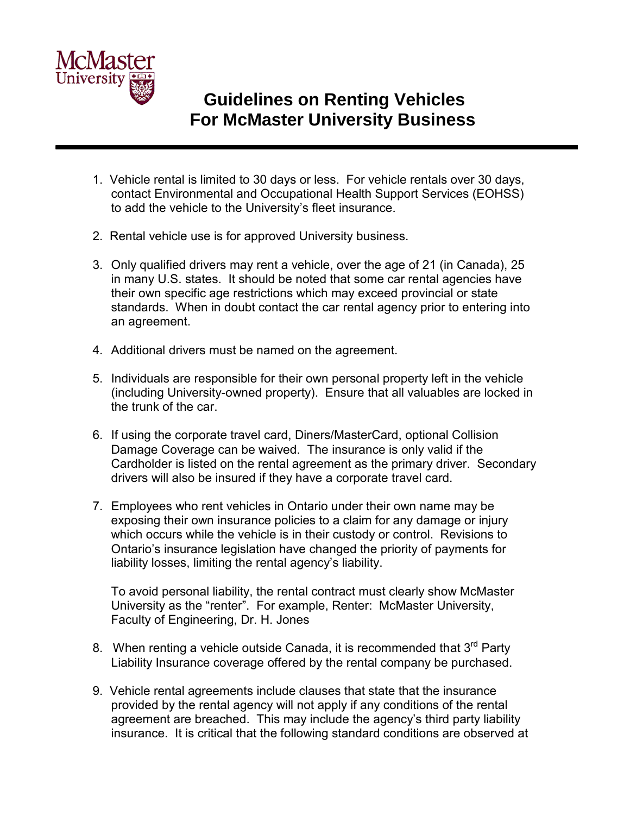

## **Guidelines on Renting Vehicles For McMaster University Business**

- 1. Vehicle rental is limited to 30 days or less. For vehicle rentals over 30 days, contact Environmental and Occupational Health Support Services (EOHSS) to add the vehicle to the University's fleet insurance.
- 2. Rental vehicle use is for approved University business.
- 3. Only qualified drivers may rent a vehicle, over the age of 21 (in Canada), 25 in many U.S. states. It should be noted that some car rental agencies have their own specific age restrictions which may exceed provincial or state standards. When in doubt contact the car rental agency prior to entering into an agreement.
- 4. Additional drivers must be named on the agreement.
- 5. Individuals are responsible for their own personal property left in the vehicle (including University-owned property). Ensure that all valuables are locked in the trunk of the car.
- 6. If using the corporate travel card, Diners/MasterCard, optional Collision Damage Coverage can be waived. The insurance is only valid if the Cardholder is listed on the rental agreement as the primary driver. Secondary drivers will also be insured if they have a corporate travel card.
- 7. Employees who rent vehicles in Ontario under their own name may be exposing their own insurance policies to a claim for any damage or injury which occurs while the vehicle is in their custody or control. Revisions to Ontario's insurance legislation have changed the priority of payments for liability losses, limiting the rental agency's liability.

 To avoid personal liability, the rental contract must clearly show McMaster University as the "renter". For example, Renter: McMaster University, Faculty of Engineering, Dr. H. Jones

- 8. When renting a vehicle outside Canada, it is recommended that  $3<sup>rd</sup>$  Party Liability Insurance coverage offered by the rental company be purchased.
- 9. Vehicle rental agreements include clauses that state that the insurance provided by the rental agency will not apply if any conditions of the rental agreement are breached. This may include the agency's third party liability insurance. It is critical that the following standard conditions are observed at